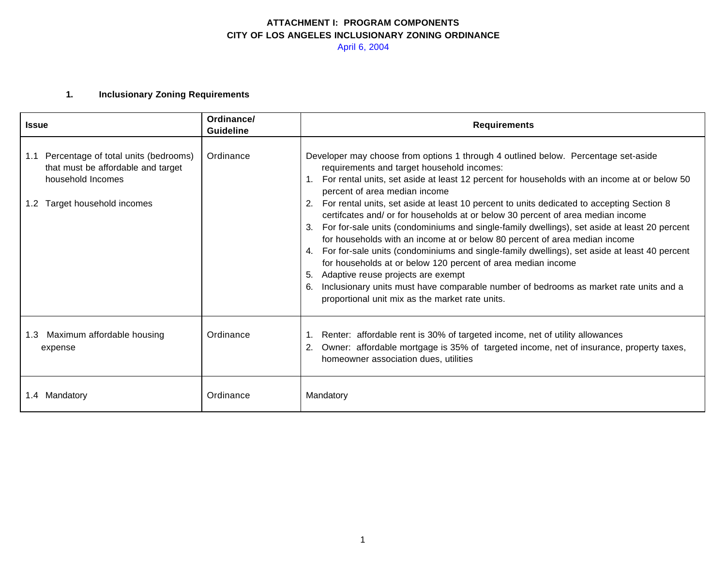### **1. Inclusionary Zoning Requirements**

| <b>Issue</b>                                                                                                                                           | Ordinance/<br>Guideline | <b>Requirements</b>                                                                                                                                                                                                                                                                                                                                                                                                                                                                                                                                                                                                                                                                                                                                                                                                                                                                                                                                                                                       |
|--------------------------------------------------------------------------------------------------------------------------------------------------------|-------------------------|-----------------------------------------------------------------------------------------------------------------------------------------------------------------------------------------------------------------------------------------------------------------------------------------------------------------------------------------------------------------------------------------------------------------------------------------------------------------------------------------------------------------------------------------------------------------------------------------------------------------------------------------------------------------------------------------------------------------------------------------------------------------------------------------------------------------------------------------------------------------------------------------------------------------------------------------------------------------------------------------------------------|
| Percentage of total units (bedrooms)<br>1.1<br>that must be affordable and target<br>household Incomes<br>Target household incomes<br>1.2 <sub>1</sub> | Ordinance               | Developer may choose from options 1 through 4 outlined below. Percentage set-aside<br>requirements and target household incomes:<br>For rental units, set aside at least 12 percent for households with an income at or below 50<br>percent of area median income<br>For rental units, set aside at least 10 percent to units dedicated to accepting Section 8<br>certifcates and/ or for households at or below 30 percent of area median income<br>For for-sale units (condominiums and single-family dwellings), set aside at least 20 percent<br>3.<br>for households with an income at or below 80 percent of area median income<br>For for-sale units (condominiums and single-family dwellings), set aside at least 40 percent<br>4.<br>for households at or below 120 percent of area median income<br>Adaptive reuse projects are exempt<br>5.<br>Inclusionary units must have comparable number of bedrooms as market rate units and a<br>6.<br>proportional unit mix as the market rate units. |
| Maximum affordable housing<br>1.3<br>expense                                                                                                           | Ordinance               | Renter: affordable rent is 30% of targeted income, net of utility allowances<br>1.<br>Owner: affordable mortgage is 35% of targeted income, net of insurance, property taxes,<br>2.<br>homeowner association dues, utilities                                                                                                                                                                                                                                                                                                                                                                                                                                                                                                                                                                                                                                                                                                                                                                              |
| 1.4 Mandatory                                                                                                                                          | Ordinance               | Mandatory                                                                                                                                                                                                                                                                                                                                                                                                                                                                                                                                                                                                                                                                                                                                                                                                                                                                                                                                                                                                 |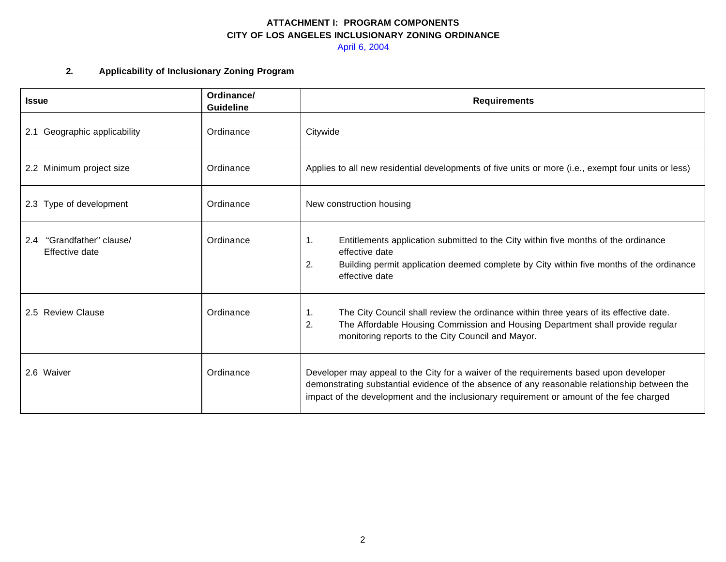April 6, 2004

### **2. Applicability of Inclusionary Zoning Program**

| <b>Issue</b>                                | Ordinance/<br><b>Guideline</b> | <b>Requirements</b>                                                                                                                                                                                                                                                               |
|---------------------------------------------|--------------------------------|-----------------------------------------------------------------------------------------------------------------------------------------------------------------------------------------------------------------------------------------------------------------------------------|
| 2.1 Geographic applicability                | Ordinance                      | Citywide                                                                                                                                                                                                                                                                          |
| 2.2 Minimum project size                    | Ordinance                      | Applies to all new residential developments of five units or more (i.e., exempt four units or less)                                                                                                                                                                               |
| 2.3 Type of development                     | Ordinance                      | New construction housing                                                                                                                                                                                                                                                          |
| 2.4 "Grandfather" clause/<br>Effective date | Ordinance                      | 1.<br>Entitlements application submitted to the City within five months of the ordinance<br>effective date<br>2.<br>Building permit application deemed complete by City within five months of the ordinance<br>effective date                                                     |
| 2.5 Review Clause                           | Ordinance                      | $\mathbf{1}$ .<br>The City Council shall review the ordinance within three years of its effective date.<br>2.<br>The Affordable Housing Commission and Housing Department shall provide regular<br>monitoring reports to the City Council and Mayor.                              |
| 2.6 Waiver                                  | Ordinance                      | Developer may appeal to the City for a waiver of the requirements based upon developer<br>demonstrating substantial evidence of the absence of any reasonable relationship between the<br>impact of the development and the inclusionary requirement or amount of the fee charged |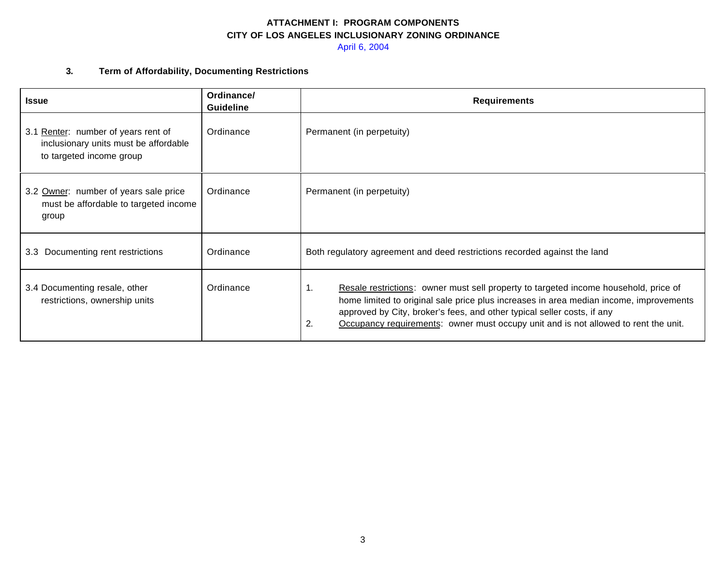April 6, 2004

### **3. Term of Affordability, Documenting Restrictions**

| <b>Issue</b>                                                                                             | Ordinance/<br><b>Guideline</b> | <b>Requirements</b>                                                                                                                                                                                                                                                                                                                                          |
|----------------------------------------------------------------------------------------------------------|--------------------------------|--------------------------------------------------------------------------------------------------------------------------------------------------------------------------------------------------------------------------------------------------------------------------------------------------------------------------------------------------------------|
| 3.1 Renter: number of years rent of<br>inclusionary units must be affordable<br>to targeted income group | Ordinance                      | Permanent (in perpetuity)                                                                                                                                                                                                                                                                                                                                    |
| 3.2 Owner: number of years sale price<br>must be affordable to targeted income<br>group                  | Ordinance                      | Permanent (in perpetuity)                                                                                                                                                                                                                                                                                                                                    |
| 3.3 Documenting rent restrictions                                                                        | Ordinance                      | Both regulatory agreement and deed restrictions recorded against the land                                                                                                                                                                                                                                                                                    |
| 3.4 Documenting resale, other<br>restrictions, ownership units                                           | Ordinance                      | 1.<br>Resale restrictions: owner must sell property to targeted income household, price of<br>home limited to original sale price plus increases in area median income, improvements<br>approved by City, broker's fees, and other typical seller costs, if any<br>2.<br>Occupancy requirements: owner must occupy unit and is not allowed to rent the unit. |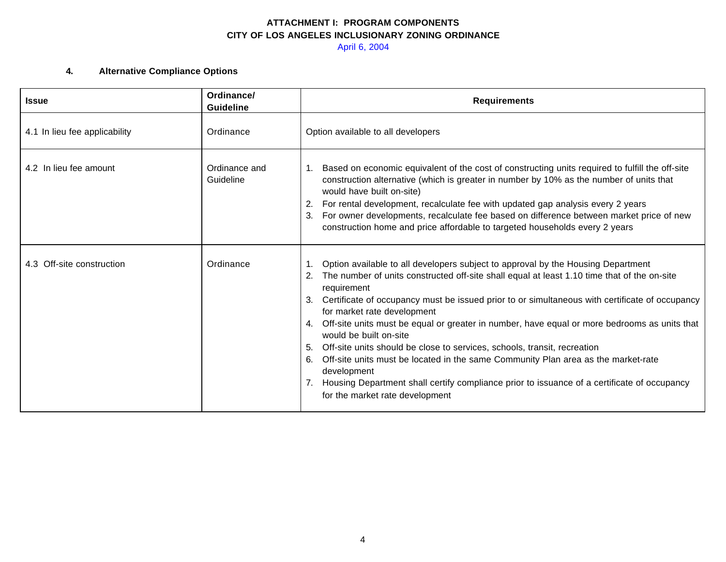April 6, 2004

## **4. Alternative Compliance Options**

| <b>Issue</b>                  | Ordinance/<br><b>Guideline</b> | <b>Requirements</b>                                                                                                                                                                                                                                                                                                                                                                                                                                                                                                                                                                                                                                                                                                                                                                           |
|-------------------------------|--------------------------------|-----------------------------------------------------------------------------------------------------------------------------------------------------------------------------------------------------------------------------------------------------------------------------------------------------------------------------------------------------------------------------------------------------------------------------------------------------------------------------------------------------------------------------------------------------------------------------------------------------------------------------------------------------------------------------------------------------------------------------------------------------------------------------------------------|
| 4.1 In lieu fee applicability | Ordinance                      | Option available to all developers                                                                                                                                                                                                                                                                                                                                                                                                                                                                                                                                                                                                                                                                                                                                                            |
| 4.2 In lieu fee amount        | Ordinance and<br>Guideline     | Based on economic equivalent of the cost of constructing units required to fulfill the off-site<br>construction alternative (which is greater in number by 10% as the number of units that<br>would have built on-site)<br>For rental development, recalculate fee with updated gap analysis every 2 years<br>For owner developments, recalculate fee based on difference between market price of new<br>construction home and price affordable to targeted households every 2 years                                                                                                                                                                                                                                                                                                          |
| 4.3 Off-site construction     | Ordinance                      | Option available to all developers subject to approval by the Housing Department<br>The number of units constructed off-site shall equal at least 1.10 time that of the on-site<br>2.<br>requirement<br>Certificate of occupancy must be issued prior to or simultaneous with certificate of occupancy<br>for market rate development<br>Off-site units must be equal or greater in number, have equal or more bedrooms as units that<br>4.<br>would be built on-site<br>Off-site units should be close to services, schools, transit, recreation<br>Off-site units must be located in the same Community Plan area as the market-rate<br>6.<br>development<br>Housing Department shall certify compliance prior to issuance of a certificate of occupancy<br>for the market rate development |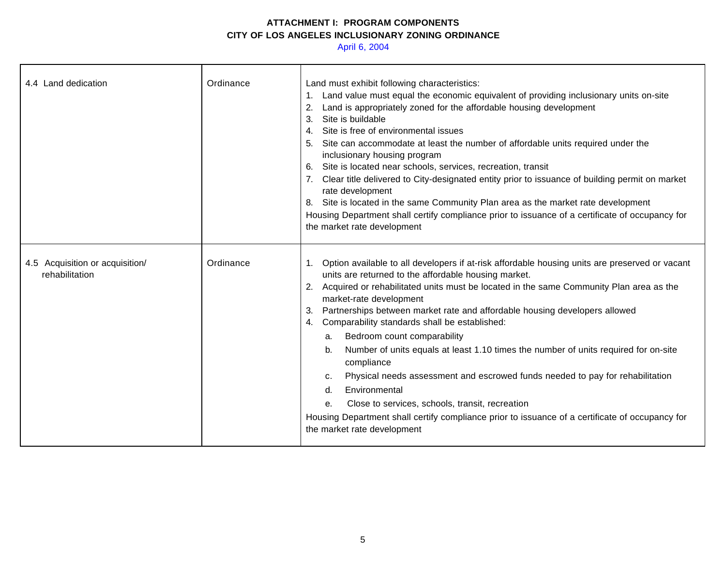April 6, 2004

| 4.4 Land dedication                               | Ordinance | Land must exhibit following characteristics:<br>1. Land value must equal the economic equivalent of providing inclusionary units on-site<br>Land is appropriately zoned for the affordable housing development<br>2.<br>Site is buildable<br>3.<br>Site is free of environmental issues<br>4.<br>Site can accommodate at least the number of affordable units required under the<br>inclusionary housing program<br>6. Site is located near schools, services, recreation, transit<br>7. Clear title delivered to City-designated entity prior to issuance of building permit on market<br>rate development<br>8. Site is located in the same Community Plan area as the market rate development<br>Housing Department shall certify compliance prior to issuance of a certificate of occupancy for<br>the market rate development                                                    |
|---------------------------------------------------|-----------|---------------------------------------------------------------------------------------------------------------------------------------------------------------------------------------------------------------------------------------------------------------------------------------------------------------------------------------------------------------------------------------------------------------------------------------------------------------------------------------------------------------------------------------------------------------------------------------------------------------------------------------------------------------------------------------------------------------------------------------------------------------------------------------------------------------------------------------------------------------------------------------|
| 4.5 Acquisition or acquisition/<br>rehabilitation | Ordinance | 1. Option available to all developers if at-risk affordable housing units are preserved or vacant<br>units are returned to the affordable housing market.<br>2. Acquired or rehabilitated units must be located in the same Community Plan area as the<br>market-rate development<br>Partnerships between market rate and affordable housing developers allowed<br>3.<br>Comparability standards shall be established:<br>4.<br>Bedroom count comparability<br>а.<br>Number of units equals at least 1.10 times the number of units required for on-site<br>b.<br>compliance<br>Physical needs assessment and escrowed funds needed to pay for rehabilitation<br>c.<br>Environmental<br>d.<br>Close to services, schools, transit, recreation<br>е.<br>Housing Department shall certify compliance prior to issuance of a certificate of occupancy for<br>the market rate development |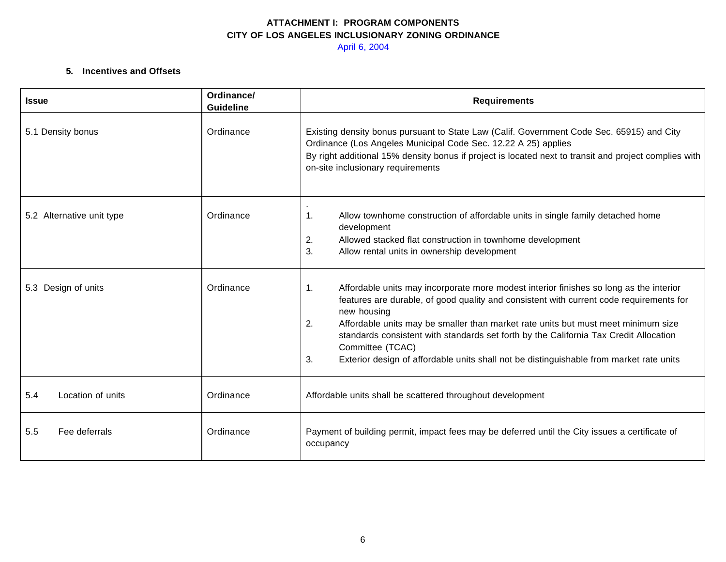#### **5. Incentives and Offsets**

| <b>Issue</b>              | Ordinance/<br><b>Guideline</b> | <b>Requirements</b>                                                                                                                                                                                                                                                                                                                                                                                                                                                                                             |
|---------------------------|--------------------------------|-----------------------------------------------------------------------------------------------------------------------------------------------------------------------------------------------------------------------------------------------------------------------------------------------------------------------------------------------------------------------------------------------------------------------------------------------------------------------------------------------------------------|
| 5.1 Density bonus         | Ordinance                      | Existing density bonus pursuant to State Law (Calif. Government Code Sec. 65915) and City<br>Ordinance (Los Angeles Municipal Code Sec. 12.22 A 25) applies<br>By right additional 15% density bonus if project is located next to transit and project complies with<br>on-site inclusionary requirements                                                                                                                                                                                                       |
| 5.2 Alternative unit type | Ordinance                      | Allow townhome construction of affordable units in single family detached home<br>1.<br>development<br>Allowed stacked flat construction in townhome development<br>2.<br>3.<br>Allow rental units in ownership development                                                                                                                                                                                                                                                                                     |
| 5.3 Design of units       | Ordinance                      | Affordable units may incorporate more modest interior finishes so long as the interior<br>1.<br>features are durable, of good quality and consistent with current code requirements for<br>new housing<br>2.<br>Affordable units may be smaller than market rate units but must meet minimum size<br>standards consistent with standards set forth by the California Tax Credit Allocation<br>Committee (TCAC)<br>3.<br>Exterior design of affordable units shall not be distinguishable from market rate units |
| 5.4<br>Location of units  | Ordinance                      | Affordable units shall be scattered throughout development                                                                                                                                                                                                                                                                                                                                                                                                                                                      |
| Fee deferrals<br>5.5      | Ordinance                      | Payment of building permit, impact fees may be deferred until the City issues a certificate of<br>occupancy                                                                                                                                                                                                                                                                                                                                                                                                     |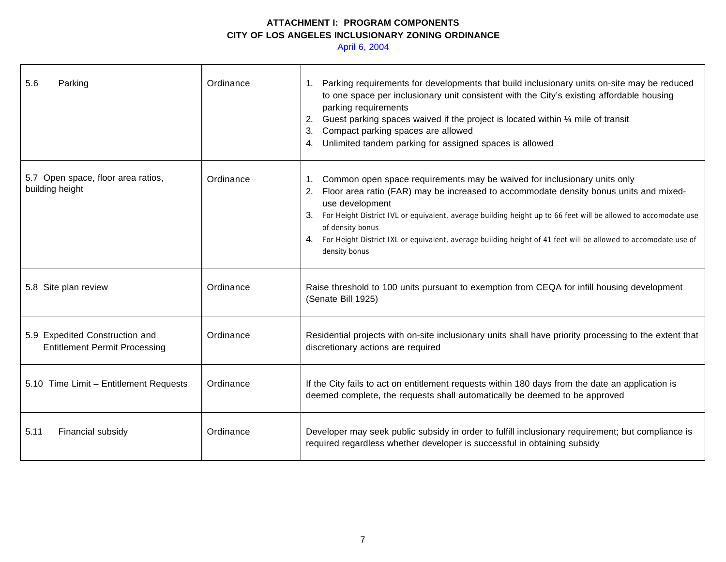April 6, 2004

| 5.6<br>Parking                                                         | Ordinance | Parking requirements for developments that build inclusionary units on-site may be reduced<br>to one space per inclusionary unit consistent with the City's existing affordable housing<br>parking requirements<br>Guest parking spaces waived if the project is located within 1/4 mile of transit<br>2.<br>Compact parking spaces are allowed<br>Unlimited tandem parking for assigned spaces is allowed<br>4.                                                             |
|------------------------------------------------------------------------|-----------|------------------------------------------------------------------------------------------------------------------------------------------------------------------------------------------------------------------------------------------------------------------------------------------------------------------------------------------------------------------------------------------------------------------------------------------------------------------------------|
| 5.7 Open space, floor area ratios,<br>building height                  | Ordinance | Common open space requirements may be waived for inclusionary units only<br>1.<br>Floor area ratio (FAR) may be increased to accommodate density bonus units and mixed-<br>2.<br>use development<br>For Height District IVL or equivalent, average building height up to 66 feet will be allowed to accomodate use<br>of density bonus<br>4. For Height District IXL or equivalent, average building height of 41 feet will be allowed to accomodate use of<br>density bonus |
| 5.8 Site plan review                                                   | Ordinance | Raise threshold to 100 units pursuant to exemption from CEQA for infill housing development<br>(Senate Bill 1925)                                                                                                                                                                                                                                                                                                                                                            |
| 5.9 Expedited Construction and<br><b>Entitlement Permit Processing</b> | Ordinance | Residential projects with on-site inclusionary units shall have priority processing to the extent that<br>discretionary actions are required                                                                                                                                                                                                                                                                                                                                 |
| 5.10 Time Limit - Entitlement Requests                                 | Ordinance | If the City fails to act on entitlement requests within 180 days from the date an application is<br>deemed complete, the requests shall automatically be deemed to be approved                                                                                                                                                                                                                                                                                               |
| 5.11<br>Financial subsidy                                              | Ordinance | Developer may seek public subsidy in order to fulfill inclusionary requirement; but compliance is<br>required regardless whether developer is successful in obtaining subsidy                                                                                                                                                                                                                                                                                                |